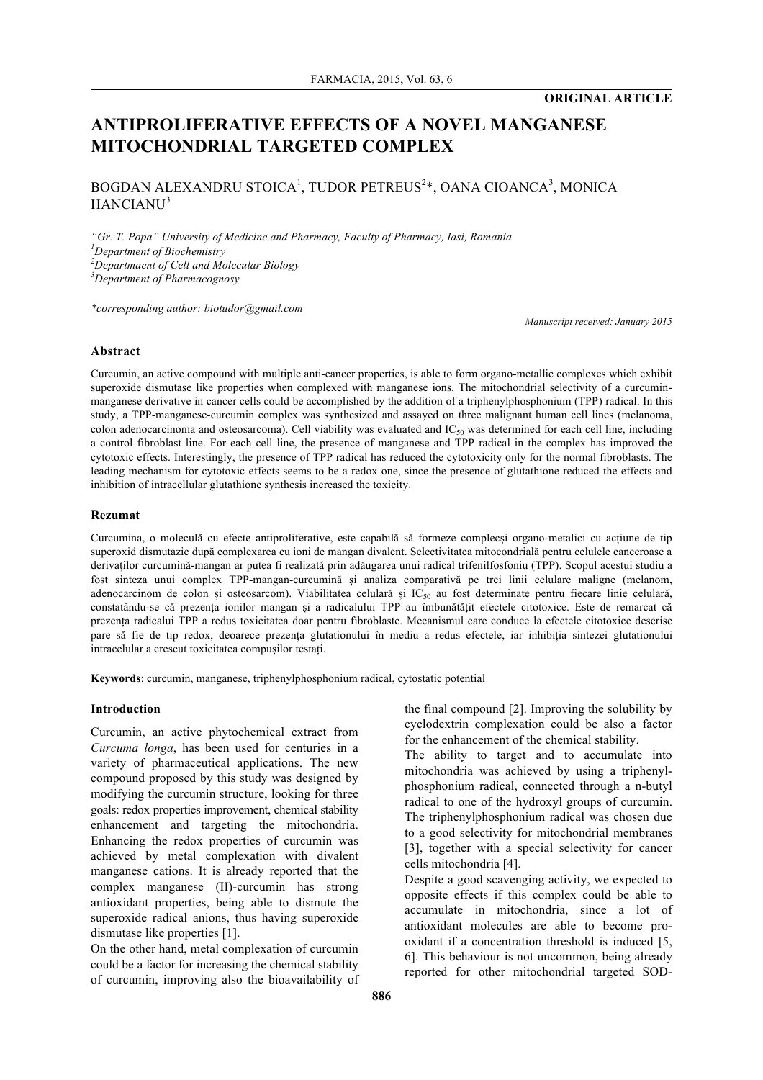# **ANTIPROLIFERATIVE EFFECTS OF A NOVEL MANGANESE MITOCHONDRIAL TARGETED COMPLEX**

BOGDAN ALEXANDRU STOICA<sup>1</sup>, TUDOR PETREUS<sup>2</sup>\*, OANA CIOANCA<sup>3</sup>, MONICA HANCIANU<sup>3</sup>

*"Gr. T. Popa" University of Medicine and Pharmacy, Faculty of Pharmacy, Iasi, Romania Department of Biochemistry Departmaent of Cell and Molecular Biology Department of Pharmacognosy*

*\*corresponding author: biotudor@gmail.com*

*Manuscript received: January 2015*

## **Abstract**

Curcumin, an active compound with multiple anti-cancer properties, is able to form organo-metallic complexes which exhibit superoxide dismutase like properties when complexed with manganese ions. The mitochondrial selectivity of a curcuminmanganese derivative in cancer cells could be accomplished by the addition of a triphenylphosphonium (TPP) radical. In this study, a TPP-manganese-curcumin complex was synthesized and assayed on three malignant human cell lines (melanoma, colon adenocarcinoma and osteosarcoma). Cell viability was evaluated and  $IC_{50}$  was determined for each cell line, including a control fibroblast line. For each cell line, the presence of manganese and TPP radical in the complex has improved the cytotoxic effects. Interestingly, the presence of TPP radical has reduced the cytotoxicity only for the normal fibroblasts. The leading mechanism for cytotoxic effects seems to be a redox one, since the presence of glutathione reduced the effects and inhibition of intracellular glutathione synthesis increased the toxicity.

#### **Rezumat**

Curcumina, o moleculă cu efecte antiproliferative, este capabilă să formeze complecși organo-metalici cu acțiune de tip superoxid dismutazic după complexarea cu ioni de mangan divalent. Selectivitatea mitocondrială pentru celulele canceroase a derivaților curcumină-mangan ar putea fi realizată prin adăugarea unui radical trifenilfosfoniu (TPP). Scopul acestui studiu a fost sinteza unui complex TPP-mangan-curcumină și analiza comparativă pe trei linii celulare maligne (melanom, adenocarcinom de colon și osteosarcom). Viabilitatea celulară și IC<sub>50</sub> au fost determinate pentru fiecare linie celulară, constatându-se că prezența ionilor mangan și a radicalului TPP au îmbunătățit efectele citotoxice. Este de remarcat că prezența radicalui TPP a redus toxicitatea doar pentru fibroblaste. Mecanismul care conduce la efectele citotoxice descrise pare să fie de tip redox, deoarece prezența glutationului în mediu a redus efectele, iar inhibiția sintezei glutationului intracelular a crescut toxicitatea compușilor testați.

**Keywords**: curcumin, manganese, triphenylphosphonium radical, cytostatic potential

## **Introduction**

Curcumin, an active phytochemical extract from *Curcuma longa*, has been used for centuries in a variety of pharmaceutical applications. The new compound proposed by this study was designed by modifying the curcumin structure, looking for three goals: redox properties improvement, chemical stability enhancement and targeting the mitochondria. Enhancing the redox properties of curcumin was achieved by metal complexation with divalent manganese cations. It is already reported that the complex manganese (II)-curcumin has strong antioxidant properties, being able to dismute the superoxide radical anions, thus having superoxide dismutase like properties [1].

On the other hand, metal complexation of curcumin could be a factor for increasing the chemical stability of curcumin, improving also the bioavailability of the final compound [2]. Improving the solubility by cyclodextrin complexation could be also a factor for the enhancement of the chemical stability.

The ability to target and to accumulate into mitochondria was achieved by using a triphenylphosphonium radical, connected through a n-butyl radical to one of the hydroxyl groups of curcumin. The triphenylphosphonium radical was chosen due to a good selectivity for mitochondrial membranes [3], together with a special selectivity for cancer cells mitochondria [4].

Despite a good scavenging activity, we expected to opposite effects if this complex could be able to accumulate in mitochondria, since a lot of antioxidant molecules are able to become prooxidant if a concentration threshold is induced [5, 6]. This behaviour is not uncommon, being already reported for other mitochondrial targeted SOD-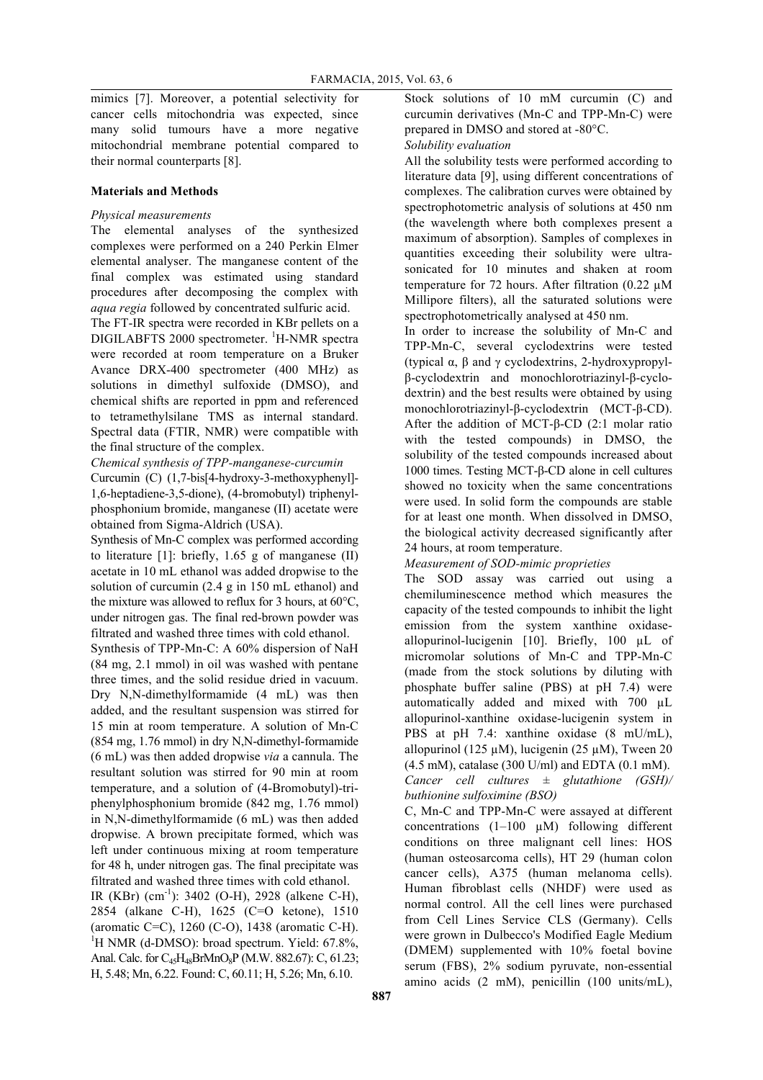mimics [7]. Moreover, a potential selectivity for cancer cells mitochondria was expected, since many solid tumours have a more negative mitochondrial membrane potential compared to their normal counterparts [8].

## **Materials and Methods**

## *Physical measurements*

The elemental analyses of the synthesized complexes were performed on a 240 Perkin Elmer elemental analyser. The manganese content of the final complex was estimated using standard procedures after decomposing the complex with *aqua regia* followed by concentrated sulfuric acid.

The FT-IR spectra were recorded in KBr pellets on a DIGILABFTS 2000 spectrometer. <sup>1</sup>H-NMR spectra were recorded at room temperature on a Bruker Avance DRX-400 spectrometer (400 MHz) as solutions in dimethyl sulfoxide (DMSO), and chemical shifts are reported in ppm and referenced to tetramethylsilane TMS as internal standard. Spectral data (FTIR, NMR) were compatible with the final structure of the complex.

*Chemical synthesis of TPP-manganese-curcumin*

Curcumin (C) (1,7-bis[4-hydroxy-3-methoxyphenyl]- 1,6-heptadiene-3,5-dione), (4-bromobutyl) triphenylphosphonium bromide, manganese (II) acetate were obtained from Sigma-Aldrich (USA).

Synthesis of Mn-C complex was performed according to literature [1]: briefly, 1.65 g of manganese (II) acetate in 10 mL ethanol was added dropwise to the solution of curcumin (2.4 g in 150 mL ethanol) and the mixture was allowed to reflux for 3 hours, at 60°C, under nitrogen gas. The final red-brown powder was filtrated and washed three times with cold ethanol.

Synthesis of TPP-Mn-C: A 60% dispersion of NaH (84 mg, 2.1 mmol) in oil was washed with pentane three times, and the solid residue dried in vacuum. Dry N,N-dimethylformamide (4 mL) was then added, and the resultant suspension was stirred for 15 min at room temperature. A solution of Mn-C (854 mg, 1.76 mmol) in dry N,N-dimethyl-formamide (6 mL) was then added dropwise *via* a cannula. The resultant solution was stirred for 90 min at room temperature, and a solution of (4-Bromobutyl)-triphenylphosphonium bromide (842 mg, 1.76 mmol) in N,N-dimethylformamide (6 mL) was then added dropwise. A brown precipitate formed, which was left under continuous mixing at room temperature for 48 h, under nitrogen gas. The final precipitate was filtrated and washed three times with cold ethanol.

IR (KBr) (cm<sup>-1</sup>): 3402 (O-H), 2928 (alkene C-H), 2854 (alkane C-H), 1625 (C=O ketone), 1510 (aromatic C=C), 1260 (C-O), 1438 (aromatic C-H). 1 <sup>1</sup>H NMR (d-DMSO): broad spectrum. Yield:  $67.8\%$ , Anal. Calc. for C<sub>45</sub>H<sub>48</sub>BrMnO<sub>8</sub>P (M.W. 882.67): C, 61.23; H, 5.48; Mn, 6.22. Found: C, 60.11; H, 5.26; Mn, 6.10.

Stock solutions of 10 mM curcumin (C) and curcumin derivatives (Mn-C and TPP-Mn-C) were prepared in DMSO and stored at -80°C.

*Solubility evaluation*

All the solubility tests were performed according to literature data [9], using different concentrations of complexes. The calibration curves were obtained by spectrophotometric analysis of solutions at 450 nm (the wavelength where both complexes present a maximum of absorption). Samples of complexes in quantities exceeding their solubility were ultrasonicated for 10 minutes and shaken at room temperature for 72 hours. After filtration (0.22 µM Millipore filters), all the saturated solutions were spectrophotometrically analysed at 450 nm.

In order to increase the solubility of Mn-C and TPP-Mn-C, several cyclodextrins were tested (typical α, β and γ cyclodextrins, 2-hydroxypropylβ-cyclodextrin and monochlorotriazinyl-β-cyclodextrin) and the best results were obtained by using monochlorotriazinyl-β-cyclodextrin (MCT-β-CD). After the addition of MCT-β-CD (2:1 molar ratio with the tested compounds) in DMSO, the solubility of the tested compounds increased about 1000 times. Testing MCT-β-CD alone in cell cultures showed no toxicity when the same concentrations were used. In solid form the compounds are stable for at least one month. When dissolved in DMSO, the biological activity decreased significantly after 24 hours, at room temperature.

*Measurement of SOD-mimic proprieties*

The SOD assay was carried out using a chemiluminescence method which measures the capacity of the tested compounds to inhibit the light emission from the system xanthine oxidaseallopurinol-lucigenin [10]. Briefly, 100 µL of micromolar solutions of Mn-C and TPP-Mn-C (made from the stock solutions by diluting with phosphate buffer saline (PBS) at pH 7.4) were automatically added and mixed with 700 µL allopurinol-xanthine oxidase-lucigenin system in PBS at pH 7.4: xanthine oxidase (8 mU/mL), allopurinol (125  $\mu$ M), lucigenin (25  $\mu$ M), Tween 20 (4.5 mM), catalase (300 U/ml) and EDTA (0.1 mM). *Cancer cell cultures ± glutathione (GSH)/ buthionine sulfoximine (BSO)*

C, Mn-C and TPP-Mn-C were assayed at different concentrations  $(1-100 \mu M)$  following different conditions on three malignant cell lines: HOS (human osteosarcoma cells), HT 29 (human colon cancer cells), A375 (human melanoma cells). Human fibroblast cells (NHDF) were used as normal control. All the cell lines were purchased from Cell Lines Service CLS (Germany). Cells were grown in Dulbecco's Modified Eagle Medium (DMEM) supplemented with 10% foetal bovine serum (FBS), 2% sodium pyruvate, non-essential amino acids (2 mM), penicillin (100 units/mL),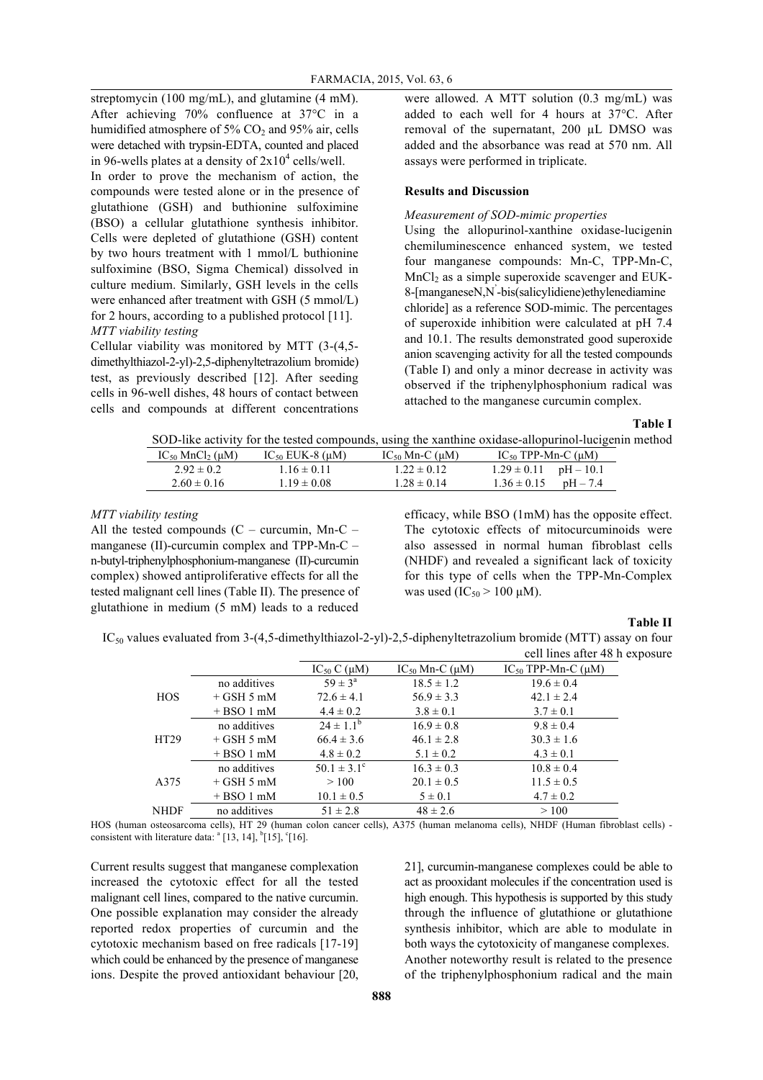streptomycin (100 mg/mL), and glutamine (4 mM). After achieving 70% confluence at 37°C in a humidified atmosphere of  $5\%$  CO<sub>2</sub> and  $95\%$  air, cells were detached with trypsin-EDTA, counted and placed in 96-wells plates at a density of  $2x10^4$  cells/well.

In order to prove the mechanism of action, the compounds were tested alone or in the presence of glutathione (GSH) and buthionine sulfoximine (BSO) a cellular glutathione synthesis inhibitor. Cells were depleted of glutathione (GSH) content by two hours treatment with 1 mmol/L buthionine sulfoximine (BSO, Sigma Chemical) dissolved in culture medium. Similarly, GSH levels in the cells were enhanced after treatment with GSH (5 mmol/L) for 2 hours, according to a published protocol [11]. *MTT viability testing*

Cellular viability was monitored by MTT (3-(4,5 dimethylthiazol-2-yl)-2,5-diphenyltetrazolium bromide) test, as previously described [12]. After seeding cells in 96-well dishes, 48 hours of contact between cells and compounds at different concentrations

were allowed. A MTT solution (0.3 mg/mL) was added to each well for 4 hours at 37°C. After removal of the supernatant, 200 µL DMSO was added and the absorbance was read at 570 nm. All assays were performed in triplicate.

## **Results and Discussion**

#### *Measurement of SOD-mimic properties*

Using the allopurinol-xanthine oxidase-lucigenin chemiluminescence enhanced system, we tested four manganese compounds: Mn-C, TPP-Mn-C,  $MnCl<sub>2</sub>$  as a simple superoxide scavenger and EUK-8-[manganeseN,N' -bis(salicylidiene)ethylenediamine chloride] as a reference SOD-mimic. The percentages of superoxide inhibition were calculated at pH 7.4 and 10.1. The results demonstrated good superoxide anion scavenging activity for all the tested compounds (Table I) and only a minor decrease in activity was observed if the triphenylphosphonium radical was attached to the manganese curcumin complex.

**Table I**

SOD-like activity for the tested compounds, using the xanthine oxidase-allopurinol-lucigenin method

| $IC_{50}$ MnCl <sub>2</sub> ( $\mu$ M) | IC <sub>50</sub> EUK-8 ( $\mu$ M) | $IC_{50}$ Mn-C ( $\mu$ M) | IC <sub>50</sub> TPP-Mn-C ( $\mu$ M) |
|----------------------------------------|-----------------------------------|---------------------------|--------------------------------------|
| $2.92 \pm 0.2$                         | $1.16 \pm 0.11$                   | $1.22 \pm 0.12$           | $1.29 \pm 0.11$ pH $- 10.1$          |
| $2.60 \pm 0.16$                        | $1.19 \pm 0.08$                   | $1.28 \pm 0.14$           | $1.36 \pm 0.15$ pH - 7.4             |
|                                        |                                   |                           |                                      |

## *MTT viability testing*

All the tested compounds  $(C - \text{curcumin}, \text{Mn-C} - \text{C})$ manganese (II)-curcumin complex and TPP-Mn-C – n-butyl-triphenylphosphonium-manganese (II)-curcumin complex) showed antiproliferative effects for all the tested malignant cell lines (Table II). The presence of glutathione in medium (5 mM) leads to a reduced

efficacy, while BSO (1mM) has the opposite effect. The cytotoxic effects of mitocurcuminoids were also assessed in normal human fibroblast cells (NHDF) and revealed a significant lack of toxicity for this type of cells when the TPP-Mn-Complex was used ( $IC_{50} > 100 \mu M$ ).

#### **Table II**

IC50 values evaluated from 3-(4,5-dimethylthiazol-2-yl)-2,5-diphenyltetrazolium bromide (MTT) assay on four cell lines after 48 h exposure

|             |              | $IC_{50}C(\mu M)$      | IC <sub>50</sub> Mn-C ( $\mu$ M) | IC <sub>50</sub> TPP-Mn-C $(\mu M)$ |
|-------------|--------------|------------------------|----------------------------------|-------------------------------------|
| <b>HOS</b>  | no additives | $59 \pm 3^{\circ}$     | $18.5 \pm 1.2$                   | $19.6 \pm 0.4$                      |
|             | $+$ GSH 5 mM | $72.6 \pm 4.1$         | $56.9 \pm 3.3$                   | $42.1 \pm 2.4$                      |
|             | $+ BSO1$ mM  | $4.4 \pm 0.2$          | $3.8 \pm 0.1$                    | $3.7 \pm 0.1$                       |
| HT29        | no additives | $24 \pm 1.1^b$         | $16.9 \pm 0.8$                   | $9.8 \pm 0.4$                       |
|             | $+$ GSH 5 mM | $66.4 \pm 3.6$         | $46.1 \pm 2.8$                   | $30.3 \pm 1.6$                      |
|             | $+ BSO1$ mM  | $4.8 \pm 0.2$          | $5.1 \pm 0.2$                    | $4.3 \pm 0.1$                       |
| A375        | no additives | $50.1 \pm 3.1^{\circ}$ | $16.3 \pm 0.3$                   | $10.8 \pm 0.4$                      |
|             | $+$ GSH 5 mM | >100                   | $20.1 \pm 0.5$                   | $11.5 \pm 0.5$                      |
|             | $+ BSO1$ mM  | $10.1 \pm 0.5$         | $5 \pm 0.1$                      | $4.7 \pm 0.2$                       |
| <b>NHDF</b> | no additives | $51 \pm 2.8$           | $48 \pm 2.6$                     | >100                                |

HOS (human osteosarcoma cells), HT 29 (human colon cancer cells), A375 (human melanoma cells), NHDF (Human fibroblast cells) consistent with literature data:  $^{a}$  [13, 14],  $^{b}$ [15],  $^{c}$ [16].

Current results suggest that manganese complexation increased the cytotoxic effect for all the tested malignant cell lines, compared to the native curcumin. One possible explanation may consider the already reported redox properties of curcumin and the cytotoxic mechanism based on free radicals [17-19] which could be enhanced by the presence of manganese ions. Despite the proved antioxidant behaviour [20,

21], curcumin-manganese complexes could be able to act as prooxidant molecules if the concentration used is high enough. This hypothesis is supported by this study through the influence of glutathione or glutathione synthesis inhibitor, which are able to modulate in both ways the cytotoxicity of manganese complexes. Another noteworthy result is related to the presence of the triphenylphosphonium radical and the main